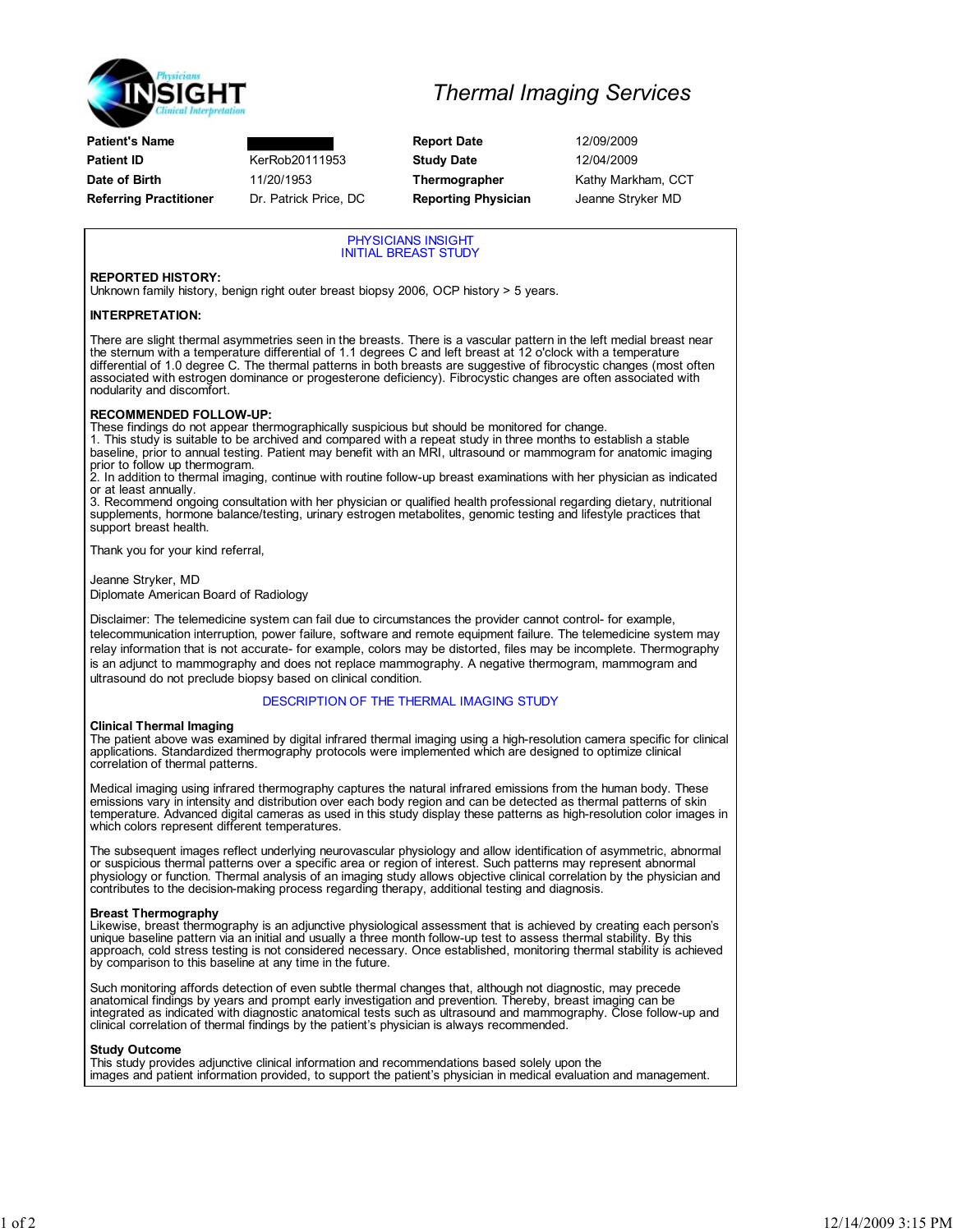

Patient's Name **Report Date** 12/09/2009 Patient ID **KerRob20111953** Study Date 12/04/2009 Date of Birth 11/20/1953 Thermographer Kathy Markham, CCT Referring Practitioner Dr. Patrick Price, DC Reporting Physician Jeanne Stryker MD

## Thermal Imaging Services

PHYSICIANS INSIGHT INITIAL BREAST STUDY

## REPORTED HISTORY:

Unknown family history, benign right outer breast biopsy 2006, OCP history > 5 years.

## INTERPRETATION:

There are slight thermal asymmetries seen in the breasts. There is a vascular pattern in the left medial breast near<br>the sternum with a temperature differential of 1.1 degrees C and left breast at 12 o'clock with a tempera differential of 1.0 degree C. The thermal patterns in both breasts are suggestive of fibrocystic changes (most often associated with estrogen dominance or progesterone deficiency). Fibrocystic changes are often associated with nodularity and discomfort.

#### RECOMMENDED FOLLOW-UP:

These findings do not appear thermographically suspicious but should be monitored for change.

1. This study is suitable to be archived and compared with a repeat study in three months to establish a stable baseline, prior to annual testing. Patient may benefit with an MRI, ultrasound or mammogram for anatomic imaging prior to follow up thermogram.

2. In addition to thermal imaging, continue with routine follow-up breast examinations with her physician as indicated

or at least annually. 3. Recommend ongoing consultation with her physician or qualified health professional regarding dietary, nutritional supplements, hormone balance/testing, urinary estrogen metabolites, genomic testing and lifestyle practices that support breast health.

Thank you for your kind referral,

Jeanne Stryker, MD

Diplomate American Board of Radiology

Disclaimer: The telemedicine system can fail due to circumstances the provider cannot control- for example, telecommunication interruption, power failure, software and remote equipment failure. The telemedicine system may relay information that is not accurate- for example, colors may be distorted, files may be incomplete. Thermography is an adjunct to mammography and does not replace mammography. A negative thermogram, mammogram and ultrasound do not preclude biopsy based on clinical condition.

## DESCRIPTION OF THE THERMAL IMAGING STUDY

#### Clinical Thermal Imaging

The patient above was examined by digital infrared thermal imaging using a high-resolution camera specific for clinical applications. Standardized thermography protocols were implemented which are designed to optimize clinical correlation of thermal patterns.

Medical imaging using infrared thermography captures the natural infrared emissions from the human body. These emissions vary in intensity and distribution over each body region and can be detected as thermal patterns of skin<br>temperature. Advanced digital cameras as used in this study display these patterns as high-resolution color which colors represent different temperatures.

The subsequent images reflect underlying neurovascular physiology and allow identification of asymmetric, abnormal or suspicious thermal patterns over a specific area or region of interest. Such patterns may represent abnormal physiology or function. Thermal analysis of an imaging study allows objective clinical correlation by the physician and contributes to the decision-making process regarding therapy, additional testing and diagnosis.

## Breast Thermography

Likewise, breast thermography is an adjunctive physiological assessment that is achieved by creating each person's unique baseline pattern via an initial and usually a three month follow-up test to assess thermal stability. By this approach, cold stress testing is not considered necessary. Once established, monitoring thermal stability is achieved by comparison to this baseline at any time in the future.

Such monitoring affords detection of even subtle thermal changes that, although not diagnostic, may precede anatomical findings by years and prompt early investigation and prevention. Thereby, breast imaging can be integrated as indicated with diagnostic anatomical tests such as ultrasound and mammography. Close follow-up and clinical correlation of thermal findings by the patient's physician is always recommended.

#### Study Outcome

This study provides adjunctive clinical information and recommendations based solely upon the images and patient information provided, to support the patient's physician in medical evaluation and management.